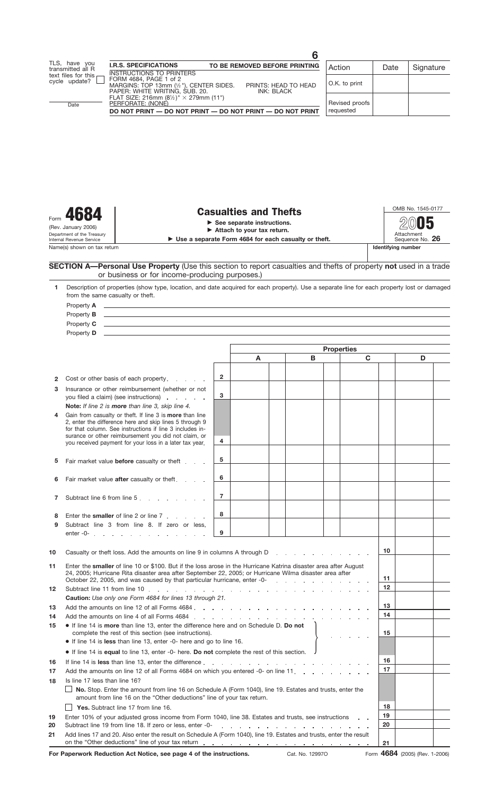Form  $\overline{4684}$  **Casualties and Thefts**<br>
See separate instructions. **Attach to your tax return.**<br>
Department of the Treasury<br>
Internal Revenue Service<br> **Internal Revenue Service** Name(s) shown on tax return (Rev. January 2006)

**Use a separate Form 4684 for each casualty or theft.** Sequence No. **26** Sequence No. **26** Sequence No. **26** Sequence N

Attachment<br>Sequence No. 26

**2005**

|          | SECTION A-Personal Use Property (Use this section to report casualties and thefts of property not used in a trade<br>or business or for income-producing purposes.)                                                                                                                                                                                                                                                        |                                                                                   |                                                                 |  |   |             |    |   |  |  |
|----------|----------------------------------------------------------------------------------------------------------------------------------------------------------------------------------------------------------------------------------------------------------------------------------------------------------------------------------------------------------------------------------------------------------------------------|-----------------------------------------------------------------------------------|-----------------------------------------------------------------|--|---|-------------|----|---|--|--|
| 1.       | Description of properties (show type, location, and date acquired for each property). Use a separate line for each property lost or damaged<br>from the same casualty or theft.                                                                                                                                                                                                                                            |                                                                                   |                                                                 |  |   |             |    |   |  |  |
|          | Property A<br><u>and the contract of the contract of the contract of the contract of the contract of the contract of the contract of</u>                                                                                                                                                                                                                                                                                   |                                                                                   |                                                                 |  |   |             |    |   |  |  |
|          | Property <b>B</b><br><u>and the contract of the contract of the contract of the contract of the contract of the contract of the contract of the contract of the contract of the contract of the contract of the contract of the contract of the contr</u>                                                                                                                                                                  |                                                                                   |                                                                 |  |   |             |    |   |  |  |
|          | Property C<br><u> 1989 - Johann Stoff, amerikansk politiker (* 1908)</u>                                                                                                                                                                                                                                                                                                                                                   |                                                                                   |                                                                 |  |   |             |    |   |  |  |
|          | Property <b>D</b><br><u> 1980 - Andrea Santa Andrea Santa Andrea Santa Andrea Santa Andrea Santa Andrea Santa Andrea Santa Andrea San</u>                                                                                                                                                                                                                                                                                  |                                                                                   |                                                                 |  |   |             |    |   |  |  |
|          |                                                                                                                                                                                                                                                                                                                                                                                                                            |                                                                                   |                                                                 |  |   |             |    |   |  |  |
|          |                                                                                                                                                                                                                                                                                                                                                                                                                            | <b>Properties</b>                                                                 |                                                                 |  |   |             |    |   |  |  |
|          |                                                                                                                                                                                                                                                                                                                                                                                                                            |                                                                                   | A                                                               |  | B | $\mathbf C$ |    | D |  |  |
|          |                                                                                                                                                                                                                                                                                                                                                                                                                            |                                                                                   |                                                                 |  |   |             |    |   |  |  |
| 2        | Cost or other basis of each property.                                                                                                                                                                                                                                                                                                                                                                                      | $\overline{2}$                                                                    |                                                                 |  |   |             |    |   |  |  |
| 3        | Insurance or other reimbursement (whether or not                                                                                                                                                                                                                                                                                                                                                                           |                                                                                   |                                                                 |  |   |             |    |   |  |  |
|          | you filed a claim) (see instructions)                                                                                                                                                                                                                                                                                                                                                                                      | 3                                                                                 |                                                                 |  |   |             |    |   |  |  |
|          | Note: If line 2 is more than line 3, skip line 4.                                                                                                                                                                                                                                                                                                                                                                          |                                                                                   |                                                                 |  |   |             |    |   |  |  |
| 4        | Gain from casualty or theft. If line 3 is <b>more</b> than line                                                                                                                                                                                                                                                                                                                                                            |                                                                                   |                                                                 |  |   |             |    |   |  |  |
|          | 2, enter the difference here and skip lines 5 through 9                                                                                                                                                                                                                                                                                                                                                                    |                                                                                   |                                                                 |  |   |             |    |   |  |  |
|          | for that column. See instructions if line 3 includes in-                                                                                                                                                                                                                                                                                                                                                                   |                                                                                   |                                                                 |  |   |             |    |   |  |  |
|          | surance or other reimbursement you did not claim, or<br>you received payment for your loss in a later tax year.                                                                                                                                                                                                                                                                                                            | 4                                                                                 |                                                                 |  |   |             |    |   |  |  |
|          |                                                                                                                                                                                                                                                                                                                                                                                                                            |                                                                                   |                                                                 |  |   |             |    |   |  |  |
| 5        | Fair market value <b>before</b> casualty or theft                                                                                                                                                                                                                                                                                                                                                                          | 5                                                                                 |                                                                 |  |   |             |    |   |  |  |
|          |                                                                                                                                                                                                                                                                                                                                                                                                                            |                                                                                   |                                                                 |  |   |             |    |   |  |  |
| 6        | Fair market value after casualty or theft.                                                                                                                                                                                                                                                                                                                                                                                 | 6                                                                                 |                                                                 |  |   |             |    |   |  |  |
|          |                                                                                                                                                                                                                                                                                                                                                                                                                            |                                                                                   |                                                                 |  |   |             |    |   |  |  |
| 7        | Subtract line 6 from line 5                                                                                                                                                                                                                                                                                                                                                                                                | $\overline{7}$                                                                    |                                                                 |  |   |             |    |   |  |  |
|          |                                                                                                                                                                                                                                                                                                                                                                                                                            |                                                                                   |                                                                 |  |   |             |    |   |  |  |
| 8        | Enter the smaller of line 2 or line 7, , , , ,                                                                                                                                                                                                                                                                                                                                                                             | 8                                                                                 |                                                                 |  |   |             |    |   |  |  |
| 9        | Subtract line 3 from line 8. If zero or less.                                                                                                                                                                                                                                                                                                                                                                              |                                                                                   |                                                                 |  |   |             |    |   |  |  |
|          |                                                                                                                                                                                                                                                                                                                                                                                                                            | 9                                                                                 |                                                                 |  |   |             |    |   |  |  |
|          |                                                                                                                                                                                                                                                                                                                                                                                                                            |                                                                                   |                                                                 |  |   |             |    |   |  |  |
| 10       |                                                                                                                                                                                                                                                                                                                                                                                                                            |                                                                                   |                                                                 |  |   |             | 10 |   |  |  |
|          | Casualty or theft loss. Add the amounts on line 9 in columns A through D                                                                                                                                                                                                                                                                                                                                                   |                                                                                   |                                                                 |  |   |             |    |   |  |  |
| 11       | Enter the smaller of line 10 or \$100. But if the loss arose in the Hurricane Katrina disaster area after August<br>24, 2005; Hurricane Rita disaster area after September 22, 2005; or Hurricane Wilma disaster area after<br>October 22, 2005, and was caused by that particular hurricane, enter -0-<br>the contract of the contract of the contract of the contract of the contract of the contract of the contract of |                                                                                   |                                                                 |  |   |             |    |   |  |  |
|          |                                                                                                                                                                                                                                                                                                                                                                                                                            |                                                                                   |                                                                 |  |   |             | 11 |   |  |  |
|          |                                                                                                                                                                                                                                                                                                                                                                                                                            |                                                                                   |                                                                 |  |   |             | 12 |   |  |  |
| 12       |                                                                                                                                                                                                                                                                                                                                                                                                                            |                                                                                   |                                                                 |  |   |             |    |   |  |  |
|          | Caution: Use only one Form 4684 for lines 13 through 21.                                                                                                                                                                                                                                                                                                                                                                   |                                                                                   |                                                                 |  |   | 13          |    |   |  |  |
| 13       | Add the amounts on line 12 of all Forms 4684<br>Add the amounts on line 4 of all Forms 4684.                                                                                                                                                                                                                                                                                                                               |                                                                                   |                                                                 |  |   |             | 14 |   |  |  |
| 14       | • If line 14 is more than line 13, enter the difference here and on Schedule D. Do not                                                                                                                                                                                                                                                                                                                                     |                                                                                   |                                                                 |  |   |             |    |   |  |  |
| 15       | complete the rest of this section (see instructions).                                                                                                                                                                                                                                                                                                                                                                      |                                                                                   |                                                                 |  |   |             | 15 |   |  |  |
|          | • If line 14 is less than line 13, enter -0- here and go to line 16.                                                                                                                                                                                                                                                                                                                                                       |                                                                                   |                                                                 |  |   |             |    |   |  |  |
|          | • If line 14 is equal to line 13, enter -0- here. Do not complete the rest of this section.                                                                                                                                                                                                                                                                                                                                |                                                                                   |                                                                 |  |   |             |    |   |  |  |
| 16       |                                                                                                                                                                                                                                                                                                                                                                                                                            |                                                                                   |                                                                 |  |   |             | 16 |   |  |  |
|          | If line 14 is less than line 13, enter the difference                                                                                                                                                                                                                                                                                                                                                                      |                                                                                   |                                                                 |  |   |             | 17 |   |  |  |
| 17       |                                                                                                                                                                                                                                                                                                                                                                                                                            | Add the amounts on line 12 of all Forms 4684 on which you entered -0- on line 11. |                                                                 |  |   |             |    |   |  |  |
| 18       | Is line 17 less than line 16?                                                                                                                                                                                                                                                                                                                                                                                              |                                                                                   |                                                                 |  |   |             |    |   |  |  |
|          | No. Stop. Enter the amount from line 16 on Schedule A (Form 1040), line 19. Estates and trusts, enter the<br>amount from line 16 on the "Other deductions" line of your tax return.                                                                                                                                                                                                                                        |                                                                                   |                                                                 |  |   |             |    |   |  |  |
|          |                                                                                                                                                                                                                                                                                                                                                                                                                            |                                                                                   |                                                                 |  |   |             | 18 |   |  |  |
|          | Yes. Subtract line 17 from line 16.                                                                                                                                                                                                                                                                                                                                                                                        |                                                                                   |                                                                 |  |   |             | 19 |   |  |  |
| 19<br>20 | Enter 10% of your adjusted gross income from Form 1040, line 38. Estates and trusts, see instructions<br>Subtract line 19 from line 18. If zero or less, enter -0-                                                                                                                                                                                                                                                         |                                                                                   |                                                                 |  |   |             | 20 |   |  |  |
|          | Add lines 17 and 20. Also enter the result on Schedule A (Form 1040), line 19. Estates and trusts, enter the result                                                                                                                                                                                                                                                                                                        |                                                                                   | the contract of the contract of the contract of the contract of |  |   |             |    |   |  |  |
| 21       |                                                                                                                                                                                                                                                                                                                                                                                                                            |                                                                                   |                                                                 |  |   |             | 21 |   |  |  |
|          |                                                                                                                                                                                                                                                                                                                                                                                                                            |                                                                                   |                                                                 |  |   |             |    |   |  |  |